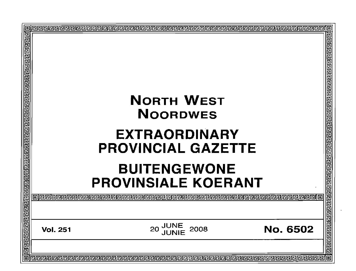|                                     | <u>교교교교교교교교교교교교교</u><br>@@@@@@@@@@@@@@@                                                                                                        |
|-------------------------------------|------------------------------------------------------------------------------------------------------------------------------------------------|
| <b>JUNE<br/>JUNIE</b><br>2008<br>20 | No. 6502<br>回                                                                                                                                  |
|                                     | <b>NORTH WEST</b><br><b>NOORDWES</b><br><b>EXTRAORDINARY</b><br><b>PROVINCIAL GAZETTE</b><br><b>BUITENGEWONE</b><br><b>PROVINSIALE KOERANT</b> |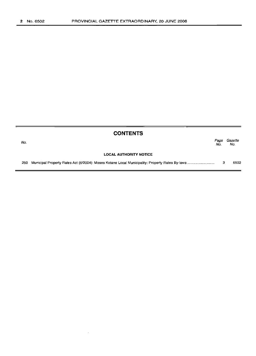| <b>CONTENTS</b> |                               |             |                |  |
|-----------------|-------------------------------|-------------|----------------|--|
| No.             |                               | Page<br>No. | Gazette<br>No. |  |
|                 | <b>LOCAL AUTHORITY NOTICE</b> |             |                |  |
| 250             |                               |             | 6502           |  |

 $\sim$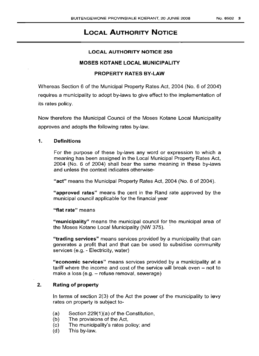# **LOCAL AUTHORITY NOTICE**

#### LOCAL AUTHORITY NOTICE 250

#### MOSES KOTANE LOCAL MUNICIPALITY

### PROPERTY RATES BY-LAW

Whereas Section 6 of the Municipal Property Rates Act, 2004 (No. 6 of 2004) requires a municipality to adopt by-laws to give effect to the implementation of its rates policy.

Now therefore the Municipal Council of the Moses Kotane Local Municipality approves and adopts the following rates by-law.

#### 1. Definitions

For the purpose of these by-laws any word or expression to which a meaning has been assigned in the Local Municipal Property Rates Act, 2004 (No.6 of 2004) shall bear the same meaning in these by-laws and unless the context indicates otherwise-

"act" means the Municipal Property Rates Act, 2004 (No.6 of 2004).

"approved rates" means the cent in the Rand rate approved by the municipal council applicable for the financial year

"flat rate" means

"municipality" means the municipal council for the municipal area of the Moses Kotane Local Municipality (NW 375). .

"trading services" means services provided by a municipality that can generates a profit that and that can be used to subsidise community services (e.g. - Electricity, water)

"economic services" means services provided by a municipality at a tariff where the income and cost of the service will break even  $-$  not to make a loss (e.g. - refuse removal, sewerage)

# 2. Rating of property

In terms of section 2(3) of the Act the power of the municipality to levy rates on property is subject to-

- (a) Section 229(1 )(a) of the Constitution,
- (b) The provisions of the Act,
- (c) The municipality's rates policy; and
- (d) This by-law.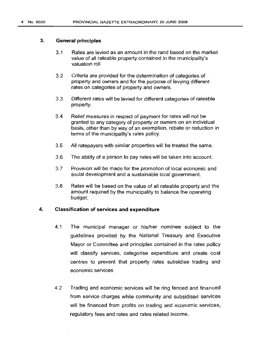#### 3. General principles

- 3.1 Rates are levied as an amount in the rand based on the market value of all rateable property contained in the municipality's valuation roll
- 3.2 Criteria are provided for the determination of categories of property and owners and for the purpose of levying different rates on categories of property and owners.
- 3.3 Different rates will be levied for different categories of rateable property.
- 3.4 Relief measures in respect of payment for rates will not be granted to any category of property or owners on an individual basis, other than by way of an exemption, rebate or reduction in terms of the municipality's rates policy.
- 3.5 All ratepayers with similar properties will be treated the same.
- 3.6 The ability of a person to pay rates will be taken into account.
- 3.7 Provision will be made for the promotion of local economic and social development and a sustainable local government.
- 3.8 Rates will be based on the value of all rateable property and the amount required by the municipality to balance the operating budget.

#### 4. Classification of services and expenditure

- 4.1 The municipal manager or his/her nominee subject to the guidelines provided by the National Treasury and Executive Mayor or Committee and principles contained in the rates policy will classify services, categorise expenditure and create cost centres to prevent that property rates subsidise trading and economic services
- 4.2 Trading and economic services will be ring fenced and financed from service charges while community and subsidised services will be financed from profits on trading and economic services, regulatory fees and rates and rates related income.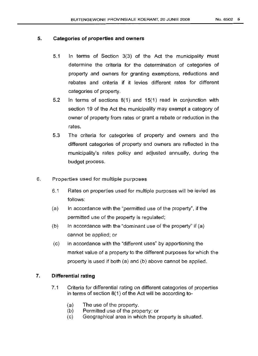### 5. **Categories of properties and owners**

- 5.1 In terms of Section 3(3) of the Act the municipality must determine the criteria for the determination of categories of property and owners for granting exemptions, reductions and rebates and criteria if it levies different rates for different categories of property.
- 5.2 In terms of sections 8(1) and 15(1) read in conjunction with section 19 of the Act the municipality may exempt a category of owner of property from rates or grant a rebate or reduction in the rates.
- 5.3 The criteria for categories of property and owners and the different categories of property and owners are reflected in the municipality's rates policy and adjusted annually, during the budget process.
- 6. Properties used for multiple purposes
	- 6.1 Rates on properties used for multiple purposes will be levied as follows:
	- $(a)$  In accordance with the "permitted use of the property", if the permitted use of the property is regulated;
	- (b) In accordance with the "dominant use of the property" if  $(a)$ cannot be applied; or
	- $(c)$  In accordance with the "different uses" by apportioning the market value of a property to the different purposes for which the property is used if both (a) and (b) above cannot be applied.

## 7. **Differential rating**

- 7.1 Criteria for differential rating on different categories of properties in terms of section 8(1) of the Act will be according to-
	- (a) The use of the property.
	- (b) Permitted use of the property; or
	- (c) Geographical area in which the property is situated.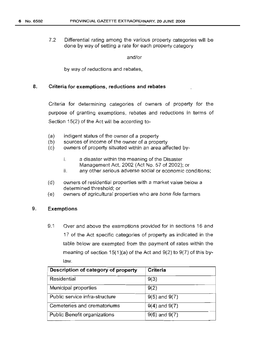7.2 Differential rating among the various property categories will be done by way of setting a rate for each property category

and/or

by way of reductions and rebates,

#### 8. Criteria for exemptions, reductions and rebates

Criteria for determining categories of owners of property for the purpose of granting exemptions, rebates and reductions in terms of Section 15(2) of the Act will be according to-

- (a) indigent status of the owner of a property
- (b) sources of income of the owner of a property
- (c) owners of property situated within an area affected by
	- i. a disaster within the meaning of the Disaster Management Act, 2002 (Act No. 57 of 2002); or
	- ii. any other serious adverse social or economic conditions;
- (d) owners of residential properties with a market value below a determined threshold; or
- (e) owners of agricultural properties who are bona fide farmers

### 9. Exemptions

9.1 Over and above the exemptions provided for in sections 16 and 17 of the Act specific categories of property as indicated in the table below are exempted from the payment of rates within the meaning of section  $15(1)(a)$  of the Act and  $9(2)$  to  $9(7)$  of this bylaw.

| Description of category of property | Criteria          |
|-------------------------------------|-------------------|
| Residential                         | 9(3)              |
| Municipal properties                | 9(2)              |
| Public service infra-structure      | $9(5)$ and $9(7)$ |
| Cemeteries and crematoriums         | $9(4)$ and $9(7)$ |
| <b>Public Benefit organizations</b> | $9(6)$ and $9(7)$ |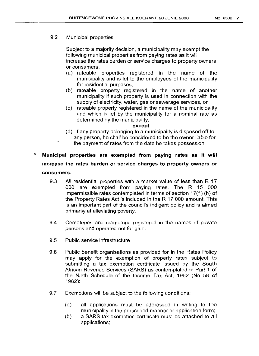# 9.2 Municipal properties

Subject to a majority decision, a municipality may exempt the following municipal properties from paying rates as it will increase the rates burden or service charges to property owners or consumers.

- (a) rateable properties registered in the name of the municipality and is let to the employees of the municipality for residential purposes,
- (b) rateable property registered in the name of another municipality if such property is used in connection with the supply of electricity, water, gas or sewerage services, or
- (c) rateable property registered in the name of the municipality and which is let by the municipality for a nominal rate as determined by the municipality.

#### **except**

- (d) If any property belonging to a municipality is disposed off to any person, he shall be considered to be the owner liable for the payment of rates from the date he takes possession.
- \* **Municipal properties are exempted from paying rates as it will increase the rates burden or service charges to property owners or consumers.**
	- 9.3 All residential properties with a market value of less than R 17 000 are exempted from paying rates. The R 15 000 impermissible rates contemplated in terms of section 17(1) (h) of the Property Rates Act is included in the R 17 000 amount. This is an important part of the council's indigent policy and is aimed primarily at alleviating poverty.
	- 9.4 Cemeteries and crematoria registered in the names of private persons and operated not for gain.
	- 9.5 Public service infrastructure
	- 9.6 Public benefit organisations as provided for in the Rates Policy may apply for the exemption of property rates subject to submitting a tax exemption certificate issued by the South African Revenue Services (SARS) as contemplated in Part 1 of the Ninth Schedule of the Income Tax Act, 1962 (No 58 of 1962):
	- 9.7 Exemptions will be subject to the following conditions:
		- (a) all applications must be addressed in writing to the municipality in the prescribed manner or application form;
		- (b) a SARS tax exemption certificate must be attached to all applications;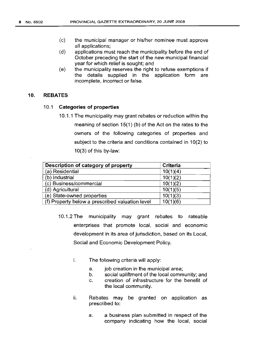- (c) the municipal manager or his/her nominee must approve all applications;
- (d) applications must reach the municipality before the end of October preceding the start of the new municipal financial year for which relief is sought; and
- (e) the municipality reserves the right to refuse exemptions if the details supplied in the application form are incomplete, incorrect or false.

#### **10. REBATES**

#### 10.1 **Categories of properties**

10.1.1 The municipality may grant rebates or reduction within the meaning of section 15(1) (b) of the Act on the rates to the owners of the following categories of properties and subject to the criteria and conditions contained in 10(2) to 10(3) of this by-law:

| Description of category of property             | Criteria |
|-------------------------------------------------|----------|
| (a) Residential                                 | 10(1)(4) |
| (b) Industrial                                  | 10(1)(2) |
| (c) Business/commercial                         | 10(1)(2) |
| (d) Agricultural                                | 10(1)(5) |
| (e) State-owned properties                      | 10(1)(3) |
| (f) Property below a prescribed valuation level | 10(1)(6) |

- 10.1.2 The municipality may grant rebates to rateable enterprises that promote local, social and economic development in its area of jurisdiction, based on its Local, Social and Economic Development Policy.
	- i. The following criteria will apply:
		- a. job creation in the municipal area;
		- b. social upliftment of the local community; and
		- c. creation of infrastructure for the benefit of the local community.
	- ii. Rebates may be granted on application as prescribed to:
		- a. a business plan submitted in respect of the company indicating how the local, social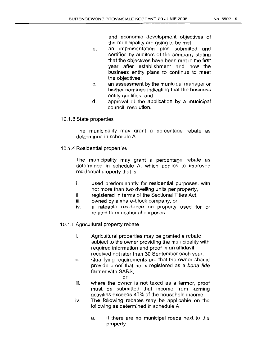and economic development objectives of the municipality are going to be met;

- b. an implementation plan submitted and certified by auditors of the company stating that the objectives have been met in the first year after establishment and how the business entity plans to continue to meet the objectives;
- c. an assessment by the municipal manager or his/her nominee indicating that the business entity qualifies; and
- d. approval of the application by a municipal council resolution.
- 10.1.3 State properties

The municipality may grant a percentage rebate as determined in schedule A.

10.1.4 Residential properties

The municipality may grant a percentage rebate as determined in schedule A, which applies to improved residential property that is:

- i. used predominantly for residential purposes, with not more than two dwelling units per property,
- ii. registered in terms of the Sectional Titles Act,
- iii. owned by a share-block company, or
- iv. a rateable residence on property used for or related to educational purposes
- 10.1.5 Agricultural property rebate
	- i. Agricultural properties may be granted a rebate subject to the owner providing the municipality with required information and proof in an affidavit received not later than 30 September each year.
	- ii. Qualifying requirements are that the owner should provide proof that he is registered as a bona fide farmer with SARS,
		- or
	- iii. where the owner is not taxed as a farmer, proof must be submitted that income from farming activities exceeds 40% of the household income.
	- iv. The following rebates may be applicable on the following as determined in schedule A:
		- a. if there are no municipal roads next to the property.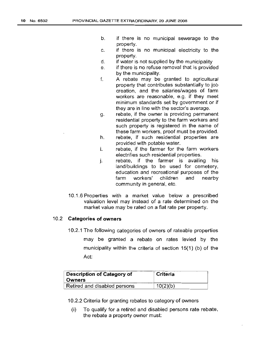- b. if there is no municipal sewerage to the property.
- c. if there is no municipal electricity to the property.
- d. if water is not supplied by the municipality
- e. if there is no refuse removal that is provided by the municipality.
- f. A rebate may be granted to agricultural property that contributes substantially to job creation, and the salaries/wages of farm workers are reasonable, e.g. if they meet minimum standards set by government or if they are in line with the sector's average.
- g. rebate, if the owner is providing permanent residential property to the farm workers and such property is registered in the name of these farm workers, proof must be provided.
- h. rebate, if such residential properties are provided with potable water.
- i. rebate, if the farmer for the farm workers electrifies such residential properties.
- j. rebate, if the farmer is availing his land/buildings to be used for cemetery, education and recreational purposes of the farm workers' children and nearby community in general, etc.
- 10.1.6 Properties with a market value below a prescribed valuation level may instead of a rate determined on the market value may be rated on a flat rate per property.

### 10.2 **Categories of owners**

10.2.1 The following categories of owners of rateable properties may be granted a rebate on rates levied by the municipality within the criteria of section 15(1) (b) of the Act:

| Description of Category of<br>∣ Owners | ' Criteria |
|----------------------------------------|------------|
| Retired and disabled persons           | 10(2)(b)   |

10.2.2 Criteria for granting rebates to category of owners

(i) To qualify for a retired and disabled persons rate rebate, the rebate a property owner must: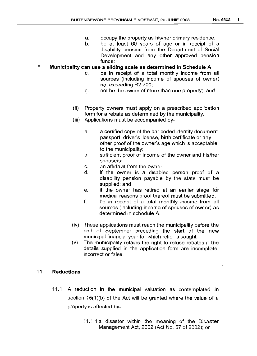- a. occupy the property as his/her primary residence;
- b. be at least 60 years of age or in receipt of a disability pension. from the Department of Social Development and any other approved pension funds;

#### \* **Municipality can use a sliding scale as determined in Schedule A**

- c. be in receipt of a total monthly income from all sources (including income of spouses of owner) not exceeding R2 700;
- d. not be the owner of more than one property; and
- (ii) Property owners must apply on a prescribed application form for a rebate as determined by the municipality.
- (iii) Applications must be accompanied by
	- a. a certified copy of the bar coded identity document. passport, driver's license, birth certificate or any other proof of the owner's age which is acceptable to the municipality;
	- b. sufficient proof of income of the owner and his/her spouse/s;
	- c. an affidavit from the owner;
	- d. if the owner is a disabled person proof of a disability pension payable by the state must be supplied; and
	- e. if the owner has retired at an earlier stage for medical reasons proof thereof must be submitted.
	- f. be in receipt of a total monthly income from all sources (including income of spouses of owner) as determined in schedule A.
- (iv) These applications must reach the municipality before the end of September preceding the start of the new municipal financial year for which relief is sought.
- (v) The municipality retains the right to refuse rebates if the details supplied in the application form are incomplete, incorrect or false.

# **11. Reductions**

- 11.1 A reduction in the municipal valuation as contemplated in section 15(1)(b) of the Act will be granted where the value of a property is affected by-
	- 11 .1.1 a disaster within the meaning of the Disaster Management Act, 2002 (Act No. 57 of 2002); or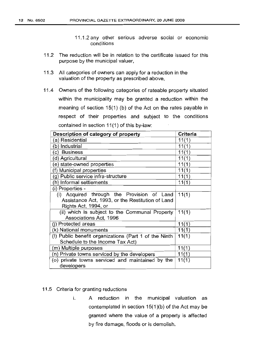- 11.1.2 any other serious adverse social or economic conditions
- 11.2 The reduction will be in relation to the certificate issued for this purpose by the municipal valuer,
- 11.3 All categories of owners can apply for a reduction in the valuation of the property as prescribed above,
- 11.4 Owners of the following categories of rateable property situated within the municipality may be granted a reduction within the meaning of section 15(1) (b) of the Act on the rates payable in respect of their properties and subject to the conditions contained in section 11(1) of this by-law:

| Description of category of property                   | Criteria |
|-------------------------------------------------------|----------|
| (a) Residential                                       | 11(1)    |
| (b) Industrial                                        | 11(1)    |
| (c) Business                                          | 11(1)    |
| (d) Agricultural                                      | 11(1)    |
| (e) state-owned properties                            | 11(1)    |
| (f) Municipal properties                              | 11(1)    |
| (g) Public service infra-structure                    | 11(1)    |
| (h) Informal settlements                              | 11(1)    |
| (i) Properties -                                      |          |
| (i) Acquired through the Provision of Land            | 11(1)    |
| Assistance Act, 1993, or the Restitution of Land      |          |
| Rights Act, 1994, or                                  |          |
| (ii) which is subject to the Communal Property        | 11(1)    |
| Associations Act, 1996                                |          |
| (j) Protected areas                                   | 11(1)    |
| (k) National monuments                                | 11(1)    |
| (I) Public benefit organizations (Part 1 of the Ninth | 11(1)    |
| Schedule to the Income Tax Act)                       |          |
| (m) Multiple purposes                                 | 11(1)    |
| (n) Private towns serviced by the developers          | 11(1)    |
| (o) private towns serviced and maintained by the      | 11(1)    |
| developers                                            |          |

- 11.5 Criteria for granting reductions
	- i. A reduction in the municipal valuation as contemplated in section 15(1)(b) of the Act may be granted where the value of a property is affected by fire damage, floods or is demolish.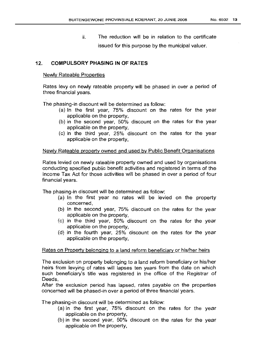ii. The reduction will be in relation to the certificate issued for this purpose by the municipal valuer.

### 12. **COMPULSORY PHASING IN OF RATES**

#### Newly Rateable Properties

Rates levy on newly rateable property will be phased in over a period of three financial years.

The phasing-in discount will be determined as follow:

- (a) In the first year, 75% discount on the rates for the year applicable on the property,
- (b) in the second year, 50% discount on the rates for the year applicable on the property,
- (c) in the third year, 25% discount on the rates for the year applicable on the property,

#### Newly Rateable property owned and used by Public Benefit Organisations

Rates levied on newly rateable property owned and used by organisations conducting specified public benefit activities and registered in terms of the Income Tax Act for those activities will be phased in over a period of four financial years.

The phasing-in discount will be determined as follow:

- (a) In the first year no rates will be levied on the property concerned,
- (b) In the second year, 75% discount on the rates for the year applicable on the property,
- (c) in the third year, 50% discount on the rates for the year applicable on the property,
- (d) in the fourth year, 25% discount on the rates for the year applicable on the property,

### Rates on Property belonging to a land reform beneficiary or his/her heirs

The exclusion on property belonging to a land reform beneficiary or his/her heirs from levying of rates will lapses ten years from the date on which such beneficiary's title was registered in the office of the Registrar of Deeds,

After the exclusion period has lapsed, rates payable on the properties concerned will be phased-in over a period of three financial years.

The phasing-in discount will be determined as follow:

- (a) In the first year, 75% discount on the rates for the year applicable on the property,
- (b) in the second year, 50% discount on the rates for the year applicable on the property,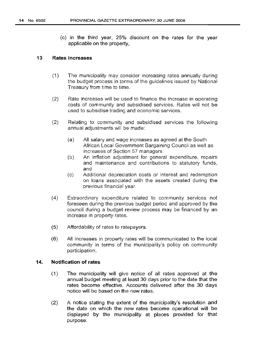(c) in the third year, 25% discount on the rates for the year applicable on the property,

#### 13 Rates increases

- (1) The municipality may consider increasing rates annually during the budget process in terms of the guidelines issued by National Treasury from time to time.
- (2) Rate increases will be used to finance the increase in operating costs of community and subsidised services. Rates will not be used to subsidise trading and economic services.
- (2) Relating to community and subsidised services the following annual adjustments will be made:
	- (a) All salary and wage increases as agreed at the South African Local Government Bargaining Council as well as increases of Section 57 managers
	- (b) An inflation adjustment for general expenditure, repairs and maintenance and contributions to statutory funds, and
	- (c) Additional depreciation costs or interest and redemption on loans associated with the assets created during the previous financial year.
- (4) Extraordinary expenditure related to community services not foreseen during the previous budget period and approved by the council during a budget review process may be financed by an increase in property rates.
- (5) Affordability of rates to ratepayers.
- (6) All increases in property rates will be communicated to the locat community in terms of the municipality's policy on community participation.

#### 14. Notification of rates

- (1) The municipality will give notice of all rates approved at the annual budget meeting at least 30 days prior to the date that the rates become effective. Accounts delivered after the 30 days notice will be based on the new rates.
- (2) A notice stating the extent of the municipality's resolution and the date on which the new rates become operational will be displayed by the municipality at places provided for that purpose.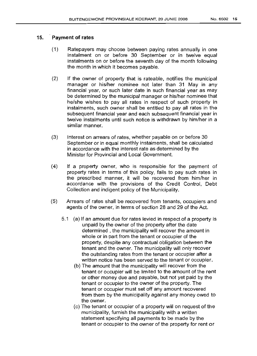# 15. Payment of rates

- (1) Ratepayers may choose between paying rates annually in one instalment on or before 30 September or in twelve equal instalments on or before the seventh day of the month following the month in which it becomes payable.
- (2) If the owner of property that is rateable, notifies the municipal manager or his/her nominee not later than 31 May in any financial year, or such later date in such financial year as may be determined by the municipal manager or his/her nominee that he/she wishes to pay all rates in respect of such property in instalments, such owner shall be entitled to pay all rates in the subsequent financial year and each subsequent financial year in twelve instalments until such notice is withdrawn by him/her in a similar manner.
- (3) Interest on arrears of rates, whether payable on or before 30 September or in equal monthly instalments, shall be calculated in accordance with the interest rate as determined by the Minister for Provincial and Local Government.
- (4) If a property owner, who is responsible for the payment of property rates in terms of this policy, fails to pay such rates in the prescribed manner, it will be recovered from him/her in accordance with the provisions of the Credit Control, Debt Collection and indigent policy of the Municipality.
- (5) Arrears of rates shall be recovered from tenants, occupiers and agents of the owner, in terms of section 28 and 29 of the Act.
	- 5.1 (a) If an amount due for rates levied in respect of a property is unpaid by the owner of the property after the date determined, the municipality will recover the amount in whole or in part from the tenant or occupier of the property, despite any contractual obligation between the tenant and the owner. The municipality will only recover the outstanding rates from the tenant or occupier after a written notice has been served to the tenant or occupier.
		- (b) The amount that the municipality will recover from the tenant or occupier will be limited to the amount of the rent or other money due and payable, but not yet paid by the tenant or occupier to the owner of the property. The tenant or occupier must set off any amount recovered from them by the municipality against any money owed to the owner.
		- (c) The tenant or occupier of a property will on request of the municipality, furnish the municipality with a written statement specifying all payments to be made by the tenant or occupier to the owner of the property for rent or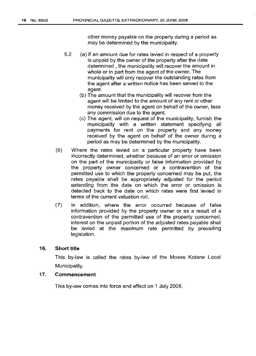other money payable on the property during a period as may be determined by the municipality.

- 5.2 (a) If an amount due for rates levied in respect of a property is unpaid by the owner of the property after the date determined, the municipality will recover the amount in whole or in part from the agent of the owner. The municipality will only recover the outstanding rates from the agent after a written notice has been served to the agent.
	- (b) The amount that the municipality will recover from the agent will be limited to the amount of any rent or other money received by the agent on behalf of the owner, less any commission due to the agent.
	- (c) The agent, will on request of the municipality, furnish the municipality with a written statement specifying all payments for rent on the property and any money received by the agent on behalf of the owner during a period as may be determined by the municipality.
- (6) Where the rates levied on a particular property have been incorrectly determined, whether because of an error or omission on the part of the municipality or false information provided by the property owner concerned or a contravention of the permitted use to which the property concerned may be put, the rates payable shall be appropriately adjusted for the period extending from the date on which the error or omission is detected back to the date on which rates were first levied in terms of the current valuation roll.
- (7) In addition, where the error occurred because of false information provided by the property owner or as a result of a contravention of the permitted use of the property concerned, interest on the unpaid portion of the adjusted rates payable shall be levied at the maximum rate permitted by prevailing legislation.

#### 16. Short title

This by-law is called the rates by-law of the Moses Kotane Local Municipality.

#### 17. Commencement

This by-law comes into force and effect on 1 July 2008.